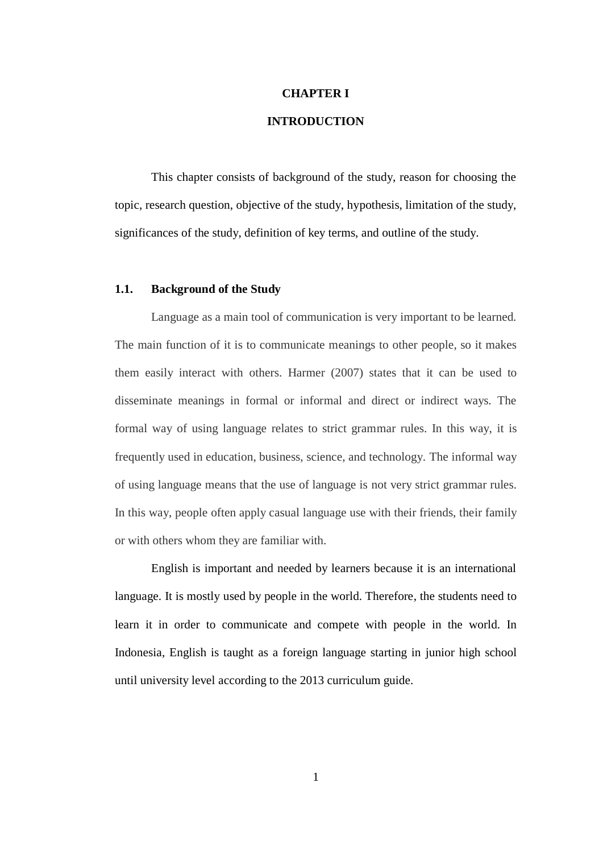# **CHAPTER I**

## **INTRODUCTION**

This chapter consists of background of the study, reason for choosing the topic, research question, objective of the study, hypothesis, limitation of the study, significances of the study, definition of key terms, and outline of the study.

## **1.1. Background of the Study**

Language as a main tool of communication is very important to be learned. The main function of it is to communicate meanings to other people, so it makes them easily interact with others. Harmer (2007) states that it can be used to disseminate meanings in formal or informal and direct or indirect ways. The formal way of using language relates to strict grammar rules. In this way, it is frequently used in education, business, science, and technology. The informal way of using language means that the use of language is not very strict grammar rules. In this way, people often apply casual language use with their friends, their family or with others whom they are familiar with.

English is important and needed by learners because it is an international language. It is mostly used by people in the world. Therefore, the students need to learn it in order to communicate and compete with people in the world. In Indonesia, English is taught as a foreign language starting in junior high school until university level according to the 2013 curriculum guide.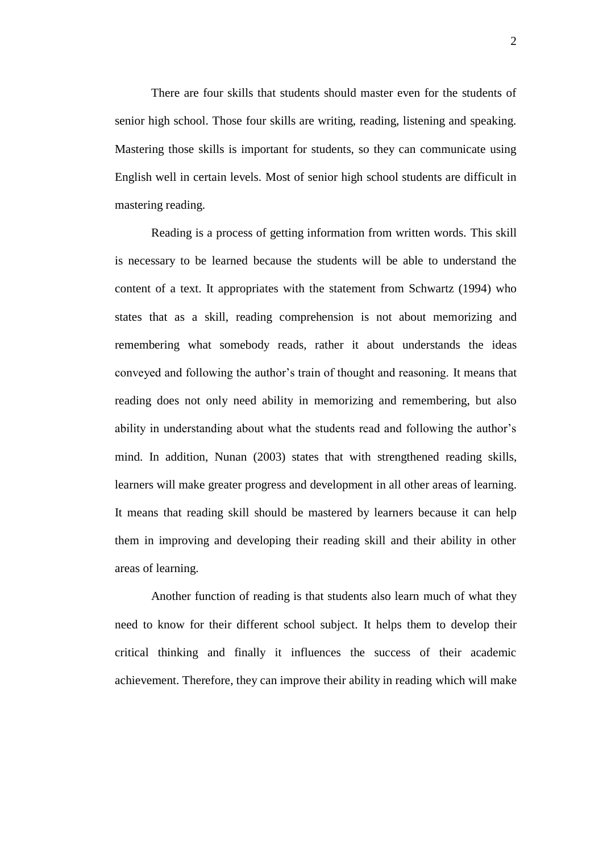There are four skills that students should master even for the students of senior high school. Those four skills are writing, reading, listening and speaking. Mastering those skills is important for students, so they can communicate using English well in certain levels. Most of senior high school students are difficult in mastering reading.

Reading is a process of getting information from written words. This skill is necessary to be learned because the students will be able to understand the content of a text. It appropriates with the statement from Schwartz (1994) who states that as a skill, reading comprehension is not about memorizing and remembering what somebody reads, rather it about understands the ideas conveyed and following the author's train of thought and reasoning. It means that reading does not only need ability in memorizing and remembering, but also ability in understanding about what the students read and following the author's mind. In addition, Nunan (2003) states that with strengthened reading skills, learners will make greater progress and development in all other areas of learning. It means that reading skill should be mastered by learners because it can help them in improving and developing their reading skill and their ability in other areas of learning.

Another function of reading is that students also learn much of what they need to know for their different school subject. It helps them to develop their critical thinking and finally it influences the success of their academic achievement. Therefore, they can improve their ability in reading which will make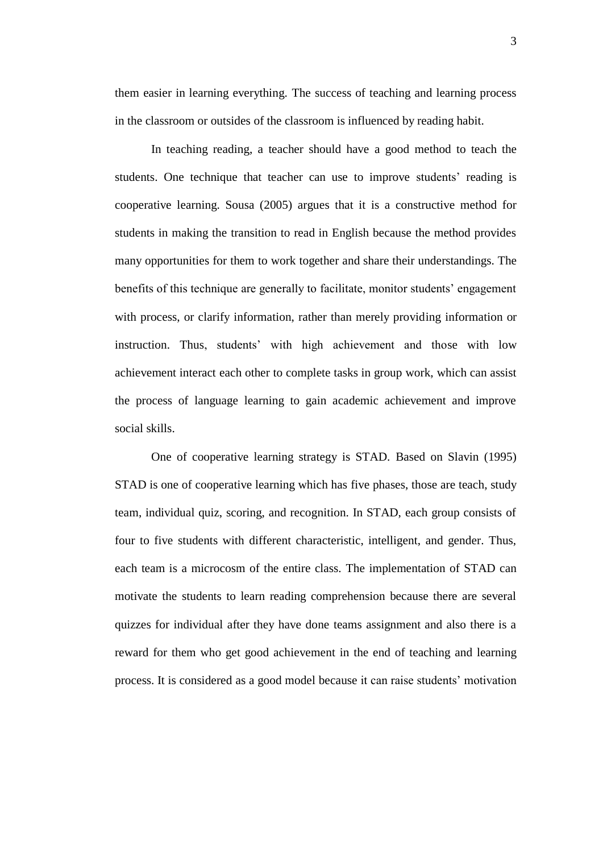them easier in learning everything. The success of teaching and learning process in the classroom or outsides of the classroom is influenced by reading habit.

In teaching reading, a teacher should have a good method to teach the students. One technique that teacher can use to improve students' reading is cooperative learning. Sousa (2005) argues that it is a constructive method for students in making the transition to read in English because the method provides many opportunities for them to work together and share their understandings. The benefits of this technique are generally to facilitate, monitor students' engagement with process, or clarify information, rather than merely providing information or instruction. Thus, students' with high achievement and those with low achievement interact each other to complete tasks in group work, which can assist the process of language learning to gain academic achievement and improve social skills.

One of cooperative learning strategy is STAD. Based on Slavin (1995) STAD is one of cooperative learning which has five phases, those are teach, study team, individual quiz, scoring, and recognition. In STAD, each group consists of four to five students with different characteristic, intelligent, and gender. Thus, each team is a microcosm of the entire class. The implementation of STAD can motivate the students to learn reading comprehension because there are several quizzes for individual after they have done teams assignment and also there is a reward for them who get good achievement in the end of teaching and learning process. It is considered as a good model because it can raise students' motivation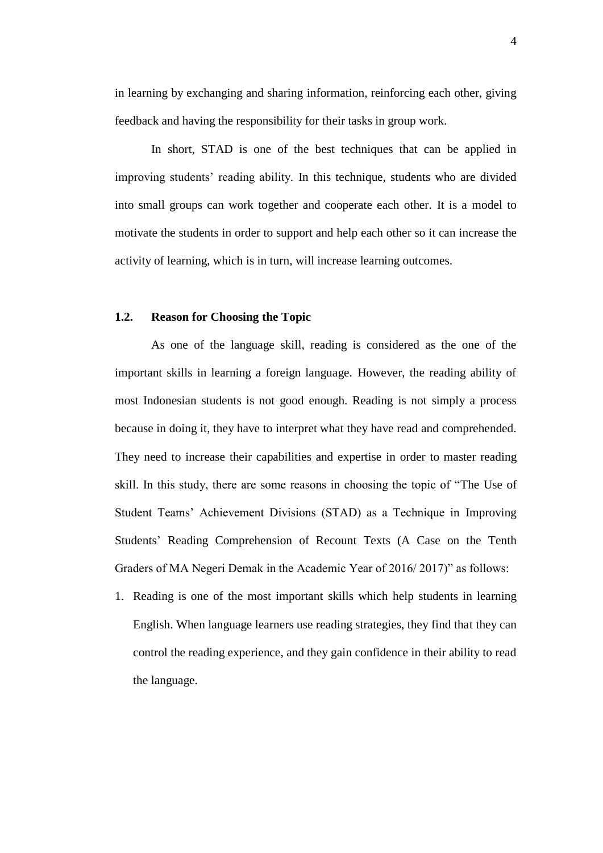in learning by exchanging and sharing information, reinforcing each other, giving feedback and having the responsibility for their tasks in group work.

In short, STAD is one of the best techniques that can be applied in improving students' reading ability. In this technique, students who are divided into small groups can work together and cooperate each other. It is a model to motivate the students in order to support and help each other so it can increase the activity of learning, which is in turn, will increase learning outcomes.

## **1.2. Reason for Choosing the Topic**

As one of the language skill, reading is considered as the one of the important skills in learning a foreign language. However, the reading ability of most Indonesian students is not good enough. Reading is not simply a process because in doing it, they have to interpret what they have read and comprehended. They need to increase their capabilities and expertise in order to master reading skill. In this study, there are some reasons in choosing the topic of "The Use of Student Teams' Achievement Divisions (STAD) as a Technique in Improving Students' Reading Comprehension of Recount Texts (A Case on the Tenth Graders of MA Negeri Demak in the Academic Year of 2016/ 2017)" as follows:

1. Reading is one of the most important skills which help students in learning English. When language learners use reading strategies, they find that they can control the reading experience, and they gain confidence in their ability to read the language.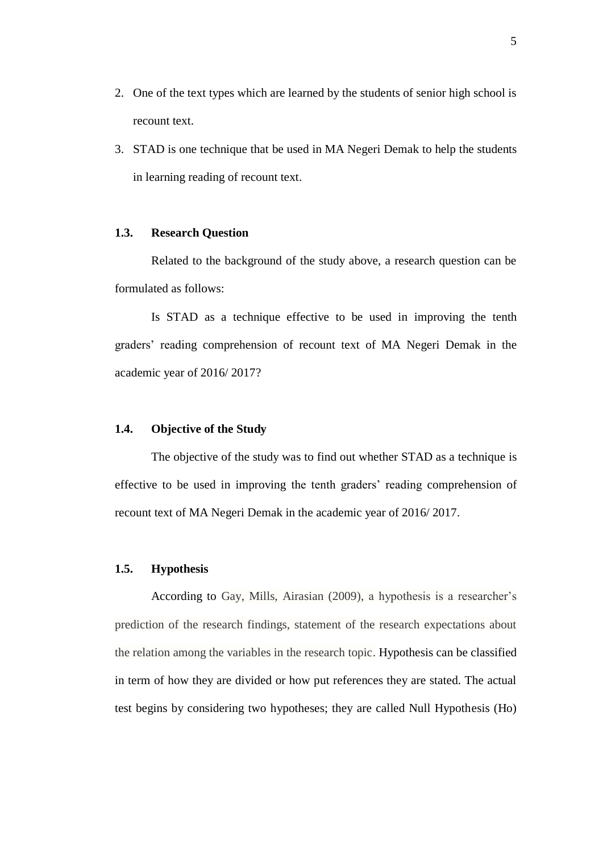- 2. One of the text types which are learned by the students of senior high school is recount text.
- 3. STAD is one technique that be used in MA Negeri Demak to help the students in learning reading of recount text.

## **1.3. Research Question**

Related to the background of the study above, a research question can be formulated as follows:

Is STAD as a technique effective to be used in improving the tenth graders' reading comprehension of recount text of MA Negeri Demak in the academic year of 2016/ 2017?

## **1.4. Objective of the Study**

The objective of the study was to find out whether STAD as a technique is effective to be used in improving the tenth graders' reading comprehension of recount text of MA Negeri Demak in the academic year of 2016/ 2017.

#### **1.5. Hypothesis**

According to Gay, Mills, Airasian (2009), a hypothesis is a researcher's prediction of the research findings, statement of the research expectations about the relation among the variables in the research topic. Hypothesis can be classified in term of how they are divided or how put references they are stated. The actual test begins by considering two hypotheses; they are called Null Hypothesis (Ho)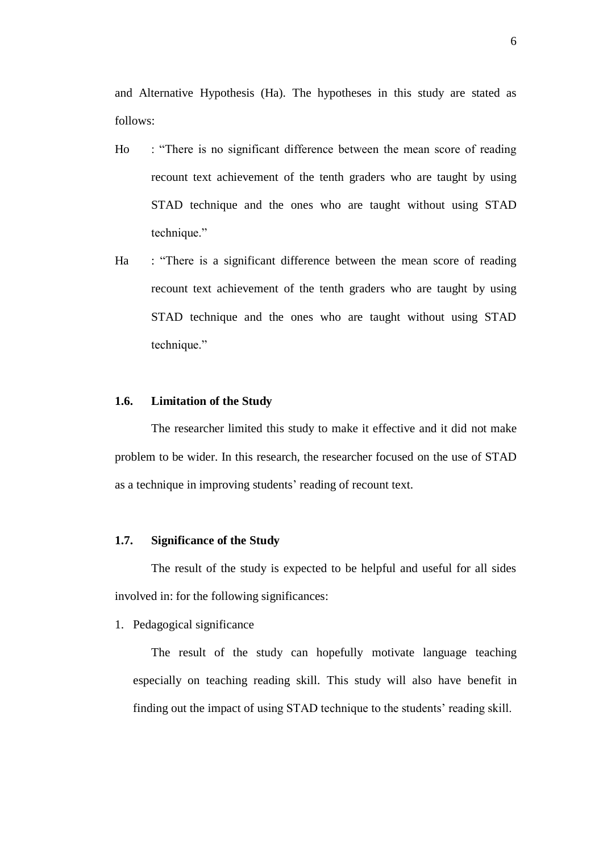and Alternative Hypothesis (Ha). The hypotheses in this study are stated as follows:

- Ho : "There is no significant difference between the mean score of reading recount text achievement of the tenth graders who are taught by using STAD technique and the ones who are taught without using STAD technique."
- Ha : "There is a significant difference between the mean score of reading recount text achievement of the tenth graders who are taught by using STAD technique and the ones who are taught without using STAD technique."

#### **1.6. Limitation of the Study**

The researcher limited this study to make it effective and it did not make problem to be wider. In this research, the researcher focused on the use of STAD as a technique in improving students' reading of recount text.

## **1.7. Significance of the Study**

The result of the study is expected to be helpful and useful for all sides involved in: for the following significances:

1. Pedagogical significance

The result of the study can hopefully motivate language teaching especially on teaching reading skill. This study will also have benefit in finding out the impact of using STAD technique to the students' reading skill.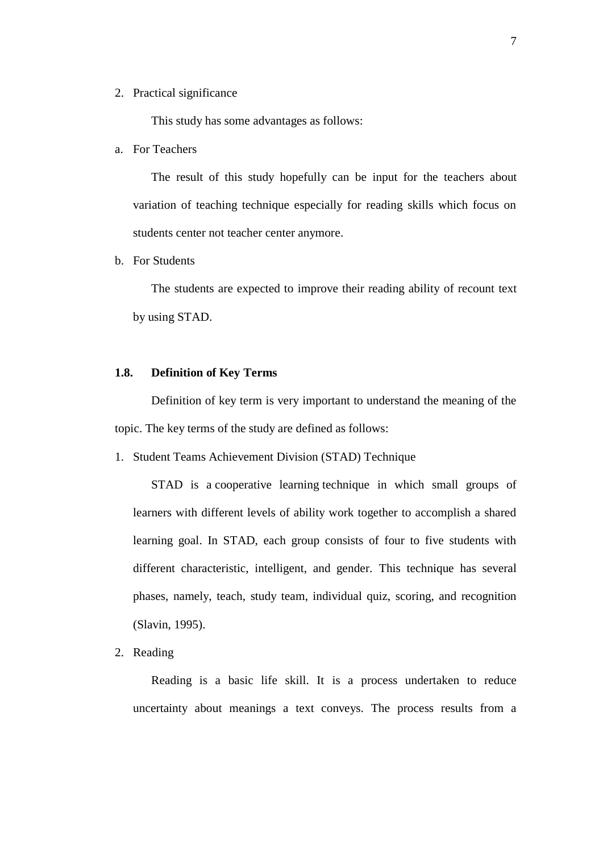2. Practical significance

This study has some advantages as follows:

a. For Teachers

The result of this study hopefully can be input for the teachers about variation of teaching technique especially for reading skills which focus on students center not teacher center anymore.

b. For Students

The students are expected to improve their reading ability of recount text by using STAD.

## **1.8. Definition of Key Terms**

Definition of key term is very important to understand the meaning of the topic. The key terms of the study are defined as follows:

1. Student Teams Achievement Division (STAD) Technique

STAD is a [cooperative learning](https://en.wikipedia.org/wiki/Cooperative_learning) technique in which small groups of learners with different levels of ability work together to accomplish a shared learning goal. In STAD, each group consists of four to five students with different characteristic, intelligent, and gender. This technique has several phases, namely, teach, study team, individual quiz, scoring, and recognition (Slavin, 1995).

2. Reading

Reading is a basic life skill. It is a process undertaken to reduce uncertainty about meanings a text conveys. The process results from a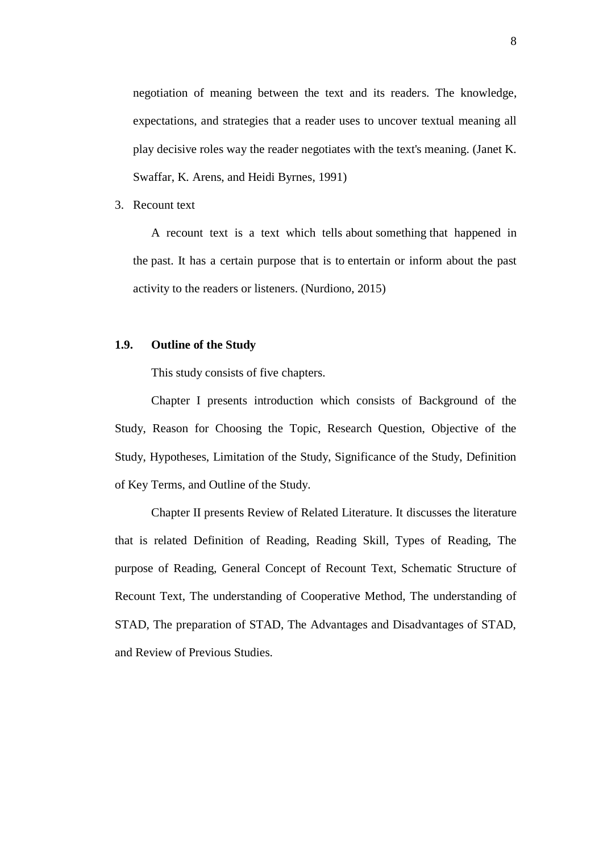negotiation of meaning between the text and its readers. The knowledge, expectations, and strategies that a reader uses to uncover textual meaning all play decisive roles way the reader negotiates with the text's meaning. (Janet K. Swaffar, K. Arens, and Heidi Byrnes, 1991)

## 3. Recount text

A recount text is a text which tells [about](http://www.nurdiono.com/explanation-about-question-tag.html) [something](http://www.nurdiono.com/asking-for-and-showing-attention.html) that happened in the [past.](http://www.nurdiono.com/past-future-perfect-continuous-tense.html) It has a certain purpose that is [to](http://www.nurdiono.com/the-function-of-need-to-as-auxiliary-or-main-verb.html) entertain or inform about the past [activity](http://www.nurdiono.com/the-pattern-of-past-continuous-tense.html) to the readers or listeners. (Nurdiono, 2015)

#### **1.9. Outline of the Study**

This study consists of five chapters.

Chapter I presents introduction which consists of Background of the Study, Reason for Choosing the Topic, Research Question, Objective of the Study, Hypotheses, Limitation of the Study, Significance of the Study, Definition of Key Terms, and Outline of the Study.

Chapter II presents Review of Related Literature. It discusses the literature that is related Definition of Reading, Reading Skill, Types of Reading, The purpose of Reading, General Concept of Recount Text, Schematic Structure of Recount Text, The understanding of Cooperative Method, The understanding of STAD, The preparation of STAD, The Advantages and Disadvantages of STAD, and Review of Previous Studies.